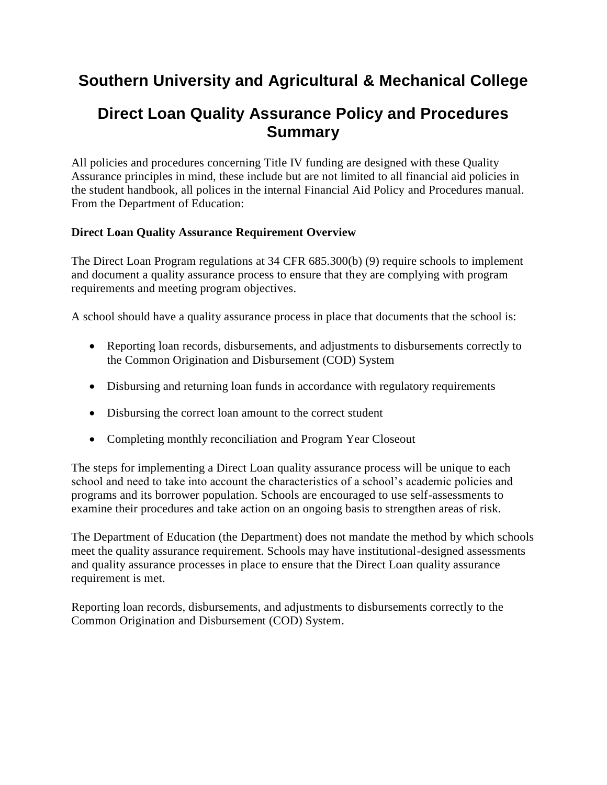# **Southern University and Agricultural & Mechanical College**

# **Direct Loan Quality Assurance Policy and Procedures Summary**

All policies and procedures concerning Title IV funding are designed with these Quality Assurance principles in mind, these include but are not limited to all financial aid policies in the student handbook, all polices in the internal Financial Aid Policy and Procedures manual. From the Department of Education:

# **Direct Loan Quality Assurance Requirement Overview**

The Direct Loan Program regulations at 34 CFR 685.300(b) (9) require schools to implement and document a quality assurance process to ensure that they are complying with program requirements and meeting program objectives.

A school should have a quality assurance process in place that documents that the school is:

- Reporting loan records, disbursements, and adjustments to disbursements correctly to the Common Origination and Disbursement (COD) System
- Disbursing and returning loan funds in accordance with regulatory requirements
- Disbursing the correct loan amount to the correct student
- Completing monthly reconciliation and Program Year Closeout

The steps for implementing a Direct Loan quality assurance process will be unique to each school and need to take into account the characteristics of a school's academic policies and programs and its borrower population. Schools are encouraged to use self-assessments to examine their procedures and take action on an ongoing basis to strengthen areas of risk.

The Department of Education (the Department) does not mandate the method by which schools meet the quality assurance requirement. Schools may have institutional-designed assessments and quality assurance processes in place to ensure that the Direct Loan quality assurance requirement is met.

Reporting loan records, disbursements, and adjustments to disbursements correctly to the Common Origination and Disbursement (COD) System.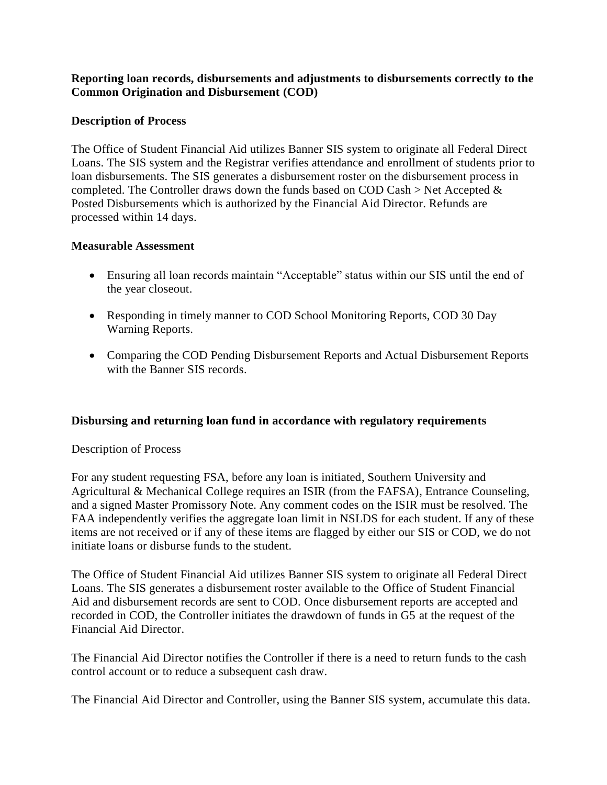## **Reporting loan records, disbursements and adjustments to disbursements correctly to the Common Origination and Disbursement (COD)**

## **Description of Process**

The Office of Student Financial Aid utilizes Banner SIS system to originate all Federal Direct Loans. The SIS system and the Registrar verifies attendance and enrollment of students prior to loan disbursements. The SIS generates a disbursement roster on the disbursement process in completed. The Controller draws down the funds based on COD Cash > Net Accepted  $\&$ Posted Disbursements which is authorized by the Financial Aid Director. Refunds are processed within 14 days.

#### **Measurable Assessment**

- Ensuring all loan records maintain "Acceptable" status within our SIS until the end of the year closeout.
- Responding in timely manner to COD School Monitoring Reports, COD 30 Day Warning Reports.
- Comparing the COD Pending Disbursement Reports and Actual Disbursement Reports with the Banner SIS records.

#### **Disbursing and returning loan fund in accordance with regulatory requirements**

#### Description of Process

For any student requesting FSA, before any loan is initiated, Southern University and Agricultural & Mechanical College requires an ISIR (from the FAFSA), Entrance Counseling, and a signed Master Promissory Note. Any comment codes on the ISIR must be resolved. The FAA independently verifies the aggregate loan limit in NSLDS for each student. If any of these items are not received or if any of these items are flagged by either our SIS or COD, we do not initiate loans or disburse funds to the student.

The Office of Student Financial Aid utilizes Banner SIS system to originate all Federal Direct Loans. The SIS generates a disbursement roster available to the Office of Student Financial Aid and disbursement records are sent to COD. Once disbursement reports are accepted and recorded in COD, the Controller initiates the drawdown of funds in G5 at the request of the Financial Aid Director.

The Financial Aid Director notifies the Controller if there is a need to return funds to the cash control account or to reduce a subsequent cash draw.

The Financial Aid Director and Controller, using the Banner SIS system, accumulate this data.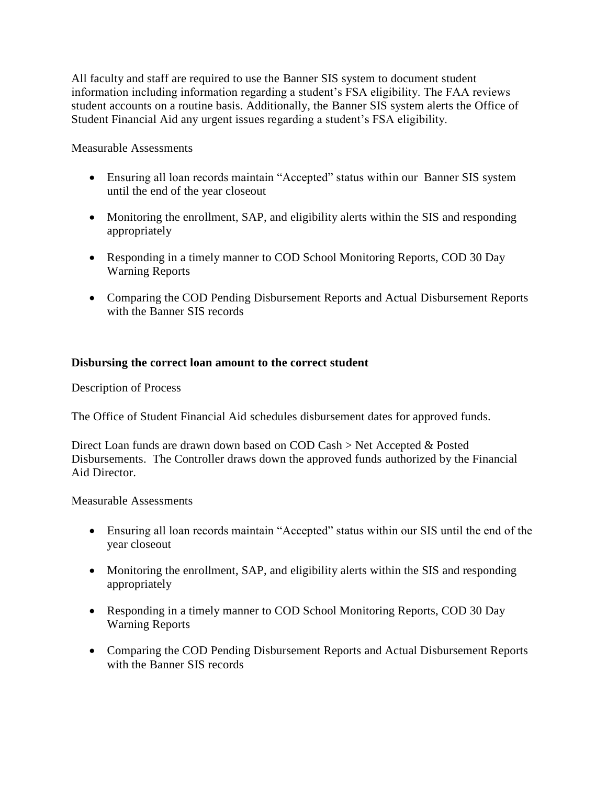All faculty and staff are required to use the Banner SIS system to document student information including information regarding a student's FSA eligibility. The FAA reviews student accounts on a routine basis. Additionally, the Banner SIS system alerts the Office of Student Financial Aid any urgent issues regarding a student's FSA eligibility.

Measurable Assessments

- Ensuring all loan records maintain "Accepted" status within our Banner SIS system until the end of the year closeout
- Monitoring the enrollment, SAP, and eligibility alerts within the SIS and responding appropriately
- Responding in a timely manner to COD School Monitoring Reports, COD 30 Day Warning Reports
- Comparing the COD Pending Disbursement Reports and Actual Disbursement Reports with the Banner SIS records

## **Disbursing the correct loan amount to the correct student**

Description of Process

The Office of Student Financial Aid schedules disbursement dates for approved funds.

Direct Loan funds are drawn down based on COD Cash > Net Accepted & Posted Disbursements. The Controller draws down the approved funds authorized by the Financial Aid Director.

#### Measurable Assessments

- Ensuring all loan records maintain "Accepted" status within our SIS until the end of the year closeout
- Monitoring the enrollment, SAP, and eligibility alerts within the SIS and responding appropriately
- Responding in a timely manner to COD School Monitoring Reports, COD 30 Day Warning Reports
- Comparing the COD Pending Disbursement Reports and Actual Disbursement Reports with the Banner SIS records